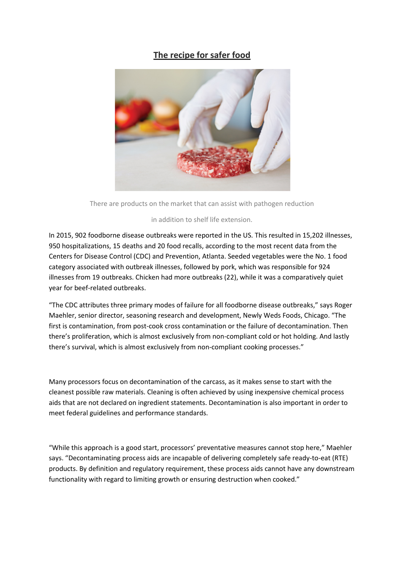## **The recipe for safer food**



There are products on the market that can assist with pathogen reduction

## in addition to shelf life extension.

In 2015, 902 foodborne disease outbreaks were reported in the US. This resulted in 15,202 illnesses, 950 hospitalizations, 15 deaths and 20 food recalls, according to the most recent data from the Centers for Disease Control (CDC) and Prevention, Atlanta. Seeded vegetables were the No. 1 food category associated with outbreak illnesses, followed by pork, which was responsible for 924 illnesses from 19 outbreaks. Chicken had more outbreaks (22), while it was a comparatively quiet year for beef-related outbreaks.

"The CDC attributes three primary modes of failure for all foodborne disease outbreaks," says Roger Maehler, senior director, seasoning research and development, Newly Weds Foods, Chicago. "The first is contamination, from post-cook cross contamination or the failure of decontamination. Then there's proliferation, which is almost exclusively from non-compliant cold or hot holding. And lastly there's survival, which is almost exclusively from non-compliant cooking processes."

Many processors focus on decontamination of the carcass, as it makes sense to start with the cleanest possible raw materials. Cleaning is often achieved by using inexpensive chemical process aids that are not declared on ingredient statements. Decontamination is also important in order to meet federal guidelines and performance standards.

"While this approach is a good start, processors' preventative measures cannot stop here," Maehler says. "Decontaminating process aids are incapable of delivering completely safe ready-to-eat (RTE) products. By definition and regulatory requirement, these process aids cannot have any downstream functionality with regard to limiting growth or ensuring destruction when cooked."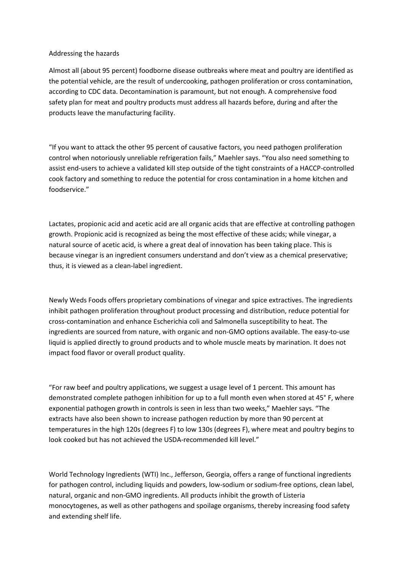## Addressing the hazards

Almost all (about 95 percent) foodborne disease outbreaks where meat and poultry are identified as the potential vehicle, are the result of undercooking, pathogen proliferation or cross contamination, according to CDC data. Decontamination is paramount, but not enough. A comprehensive food safety plan for meat and poultry products must address all hazards before, during and after the products leave the manufacturing facility.

"If you want to attack the other 95 percent of causative factors, you need pathogen proliferation control when notoriously unreliable refrigeration fails," Maehler says. "You also need something to assist end-users to achieve a validated kill step outside of the tight constraints of a HACCP-controlled cook factory and something to reduce the potential for cross contamination in a home kitchen and foodservice."

Lactates, propionic acid and acetic acid are all organic acids that are effective at controlling pathogen growth. Propionic acid is recognized as being the most effective of these acids; while vinegar, a natural source of acetic acid, is where a great deal of innovation has been taking place. This is because vinegar is an ingredient consumers understand and don't view as a chemical preservative; thus, it is viewed as a clean-label ingredient.

Newly Weds Foods offers proprietary combinations of vinegar and spice extractives. The ingredients inhibit pathogen proliferation throughout product processing and distribution, reduce potential for cross-contamination and enhance Escherichia coli and Salmonella susceptibility to heat. The ingredients are sourced from nature, with organic and non-GMO options available. The easy-to-use liquid is applied directly to ground products and to whole muscle meats by marination. It does not impact food flavor or overall product quality.

"For raw beef and poultry applications, we suggest a usage level of 1 percent. This amount has demonstrated complete pathogen inhibition for up to a full month even when stored at 45° F, where exponential pathogen growth in controls is seen in less than two weeks," Maehler says. "The extracts have also been shown to increase pathogen reduction by more than 90 percent at temperatures in the high 120s (degrees F) to low 130s (degrees F), where meat and poultry begins to look cooked but has not achieved the USDA-recommended kill level."

World Technology Ingredients (WTI) Inc., Jefferson, Georgia, offers a range of functional ingredients for pathogen control, including liquids and powders, low-sodium or sodium-free options, clean label, natural, organic and non-GMO ingredients. All products inhibit the growth of Listeria monocytogenes, as well as other pathogens and spoilage organisms, thereby increasing food safety and extending shelf life.